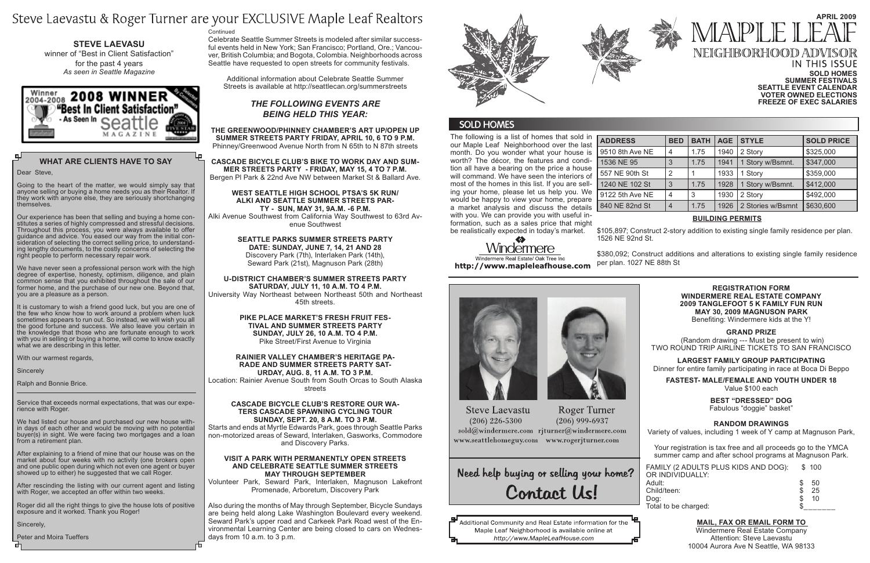#### **IN THIS ISSUE Sold Homes Summer Festivals Seattle Event Calendar Voter owned elections Freeze of Exec Salaries**

Celebrate Seattle Summer Streets is modeled after similar successful events held in New York; San Francisco; Portland, Ore.; Vancouver, British Columbia; and Bogota, Colombia. Neighborhoods across Seattle have requested to open streets for community festivals.

Additional information about Celebrate Seattle Summer Streets is available at http://seattlecan.org/summerstreets

## *The following events are being held this year:*

**The Greenwood/Phinney Chamber's Art Up/Open Up Summer Streets Party Friday, April 10, 6 to 9 p.m.** Phinney/Greenwood Avenue North from N 65th to N 87th streets

**Cascade Bicycle Club's Bike to Work Day and Summer Streets Party - Friday, May 15, 4 to 7 p.m.** Bergen Pl Park & 22nd Ave NW between Market St & Ballard Ave.

#### **West Seattle High School PTSA's 5K Run/ Alki and Seattle Summer Streets Party - Sun, May 31, 9a.m. -6 p.m.**

Alki Avenue Southwest from California Way Southwest to 63rd Avenue Southwest

Also during the months of May through September, Bicycle Sundays are being held along Lake Washington Boulevard every weekend. Seward Park's upper road and Carkeek Park Road west of the Environmental Learning Center are being closed to cars on Wednesdays from 10 a.m. to 3 p.m.



## **SOLD HOMES**

**Seattle Parks Summer Streets Party Date: Sunday, June 7, 14, 21 and 28** Discovery Park (7th), Interlaken Park (14th), Seward Park (21st), Magnuson Park (28th)

# **April 2009** MAPLE NEIGHBORHOOD ADV

**U-District Chamber's Summer Streets Party Saturday, July 11, 10 a.m. to 4 p.m.** University Way Northeast between Northeast 50th and Northeast

45th streets.

**Pike Place Market's Fresh Fruit Festival and Summer Streets Party Sunday, July 26, 10 a.m. to 4 p.m.** Pike Street/First Avenue to Virginia

#### **Rainier Valley Chamber's Heritage Parade and Summer Streets Party Sat-**

**urday, Aug. 8, 11 a.m. to 3 p.m.**

Location: Rainier Avenue South from South Orcas to South Alaska streets

## **Cascade Bicycle Club's Restore Our Waters Cascade Spawning Cycling Tour**

**Sunday, Sept. 20, 8 a.m. to 3 p.m.** Starts and ends at Myrtle Edwards Park, goes through Seattle Parks non-motorized areas of Seward, Interlaken, Gasworks, Commodore and Discovery Parks.

## **Visit a park with permanently open streets and Celebrate Seattle Summer Streets May through September**

Volunteer Park, Seward Park, Interlaken, Magnuson Lakefront Promenade, Arboretum, Discovery Park

The following is a list of homes that sold in our Maple Leaf Neighborhood over the last month. Do you wonder what your house is worth? The décor, the features and condition all have a bearing on the price a house will command. We have seen the interiors of most of the homes in this list. If you are selling your home, please let us help you. We would be happy to view your home, prepare a market analysis and discuss the details with you. We can provide you with useful information, such as a sales price that might be realistically expected in today's market.

| <b>ADDRESS</b> |
|----------------|
| 9510 8th Ave   |
| 1536 NE 95     |
| 557 NE 90th    |
| 1240 NE 102    |
| 9122 5th Ave   |
| 840 NE 82no    |

| <b>ADDRESS</b>  | <b>BED</b>     | <b>BATH</b> | <b>AGE</b> | <b>STYLE</b>      | <b>SOLD PRICE</b> |
|-----------------|----------------|-------------|------------|-------------------|-------------------|
| 9510 8th Ave NE | 4              | 1.75        | 1940       | 2 Story           | \$325,000         |
| 1536 NE 95      | 3              | 1.75        | 1941       | 1 Story w/Bsmnt.  | \$347,000         |
| 557 NE 90th St  | $\overline{2}$ |             | 1933       | 1 Story           | \$359,000         |
| 1240 NE 102 St  | 3              | 1.75        | 1928       | 1 Story w/Bsmnt.  | \$412,000         |
| 9122 5th Ave NE | 4              | 3           | 1930       | 2 Story           | \$492,000         |
| 840 NE 82nd St  | $\overline{4}$ | 1.75        | 1926       | 2 Stories w/Bsmnt | \$630,600         |

## **What Are Clients Have to Say**

Dear Steve,

Going to the heart of the matter, we would simply say that anyone selling or buying a home needs you as their Realtor. If they work with anyone else, they are seriously shortchanging themselves.

Our experience has been that selling and buying a home constitutes a series of highly compressed and stressful decisions. Throughout this process, you were always available to offer guidance and advice. You eased our way from the initial consideration of selecting the correct selling price, to understanding lengthy documents, to the costly concerns of selecting the right people to perform necessary repair work.

We have never seen a professional person work with the high degree of expertise, honesty, optimism, diligence, and plain common sense that you exhibited throughout the sale of our former home, and the purchase of our new one. Beyond that, you are a pleasure as a person.

It is customary to wish a friend good luck, but you are one of the few who know how to work around a problem when luck sometimes appears to run out. So instead, we will wish you all the good fortune and success. We also leave you certain in the knowledge that those who are fortunate enough to work with you in selling or buying a home, will come to know exactly what we are describing in this letter.

With our warmest regards,

**Sincerely** 

Ralph and Bonnie Brice.

Service that exceeds normal expectations, that was our experience with Roger.

We had listed our house and purchased our new house within days of each other and would be moving with no potential buyer(s) in sight. We were facing two mortgages and a loan from a retirement plan.

After explaining to a friend of mine that our house was on the market about four weeks with no activity (one brokers open and one public open during which not even one agent or buyer showed up to either) he suggested that we call Roger.

After rescinding the listing with our current agent and listing with Roger, we accepted an offer within two weeks.

Roger did all the right things to give the house lots of positive exposure and it worked. Thank you Roger!

Sincerely,

Peter and Moira Tueffers

#### **Continued**

# Steve Laevastu & Roger Turner are your EXCLUSIVE Maple Leaf Realtors

**Steve Laevasu**  winner of "Best in Client Satisfaction" for the past 4 years *As seen in Seattle Magazine*



## **BUILDING PERMITS**

\$105,897; Construct 2-story addition to existing single family residence per plan.

1526 NE 92nd St.

# Windermere Windermere Real Estate/ Oak Tree Inc

http://www.mapleleafhouse.com



**Steve Laevastu**  $(206)$  226-5300 www.seattlehomeguy.com www.rogerjturner.com

**Roger Turner**  $(206)$  999-6937 sold@windermere.com rjturner@windermere.com

Need help buying or selling your home? Contact Us!

Additional Community and Real Estate information for the Maple Leaf Neighborhood is available online at http://www.MapleLeafHouse.com



\$380,092; Construct additions and alterations to existing single family residence per plan. 1027 NE 88th St

#### **REGISTRATION FORM WINDERMERE REAL ESTATE COMPANY 2009 TANGLEFOOT 5 K FAMILY FUN RUN May 30, 2009 MAGNUSON PARK** Benefiting: Windermere kids at the Y!

## **GRAND PRIZE**

 (Random drawing --- Must be present to win) TWO ROUND TRIP AIRLINE TICKETS TO SAN FRANCISCO

**LARGEST FAMILY GROUP PARTICIPATING** Dinner for entire family participating in race at Boca Di Beppo

**FASTEST- MALE/FEMALE AND YOUTH UNDER 18** Value \$100 each

> **BEST "DRESSED" DOG**  Fabulous "doggie" basket"

## **RANDOM DRAWINGS**

Variety of values, including 1 week of Y camp at Magnuson Park,

Your registration is tax free and all proceeds go to the YMCA summer camp and after school programs at Magnuson Park.

| FAMILY (2 ADULTS PLUS KIDS AND DOG): | \$100 |     |
|--------------------------------------|-------|-----|
| OR INDIVIDUALLY:                     |       |     |
| Adult:                               | S     | -50 |
| Child/teen:                          |       | 25  |
| Dog:                                 |       | 10  |
| Total to be charged:                 |       |     |

## **Mail, Fax Or Email Form To**

Windermere Real Estate Company Attention: Steve Laevastu 10004 Aurora Ave N Seattle, WA 98133